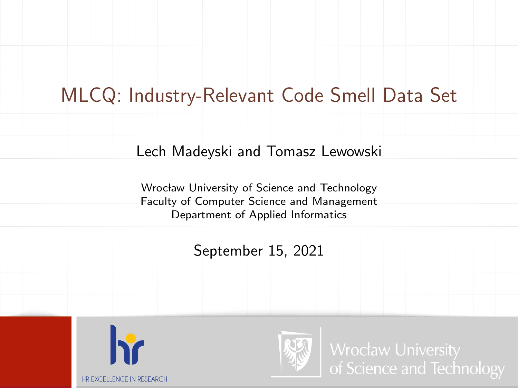### MLCQ: Industry-Relevant Code Smell Data Set

#### Lech Madeyski and Tomasz Lewowski

Wrocław University of Science and Technology Faculty of Computer Science and Management Department of Applied Informatics

September 15, 2021



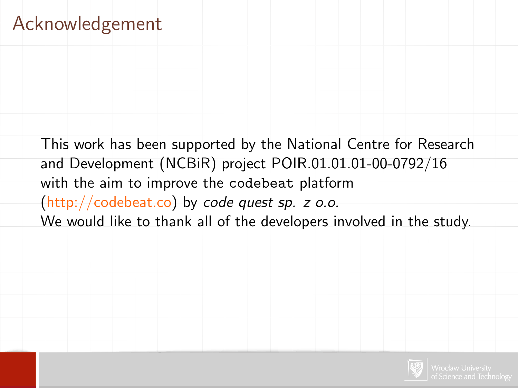### Acknowledgement

This work has been supported by the National Centre for Research and Development (NCBiR) project POIR.01.01.01-00-0792/16 with the aim to improve the codebeat platform [\(http://codebeat.co\)](http://codebeat.co) by code quest sp. z o.o. We would like to thank all of the developers involved in the study.

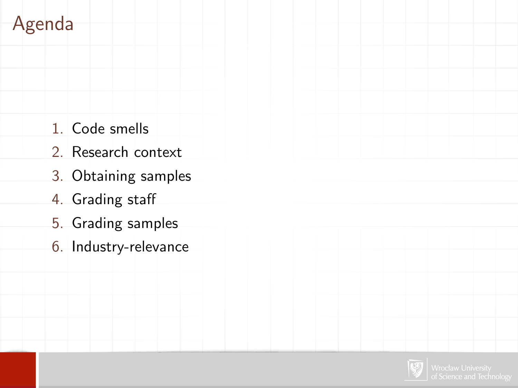## Agenda

- 1. Code smells
- 2. Research context
- 3. Obtaining samples
- 4. Grading staff
- 5. Grading samples
- 6. Industry-relevance

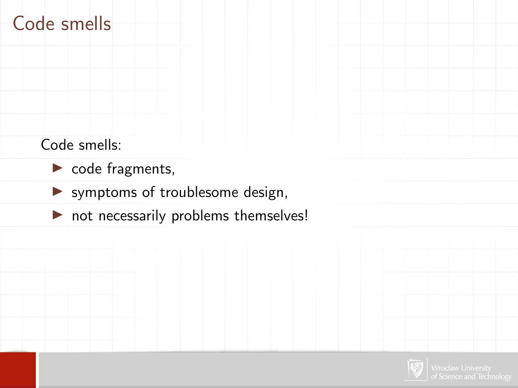### Code smells

Code smells:

- $\triangleright$  code fragments,
- $\blacktriangleright$  symptoms of troublesome design,
- $\triangleright$  not necessarily problems themselves!

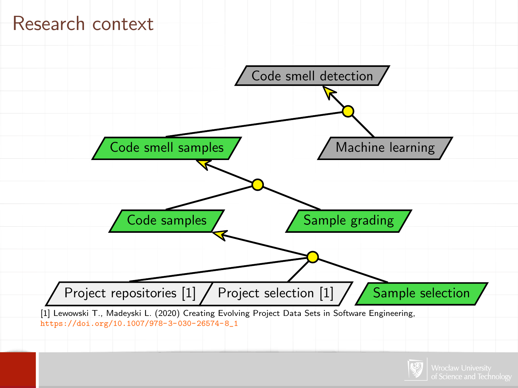#### Research context



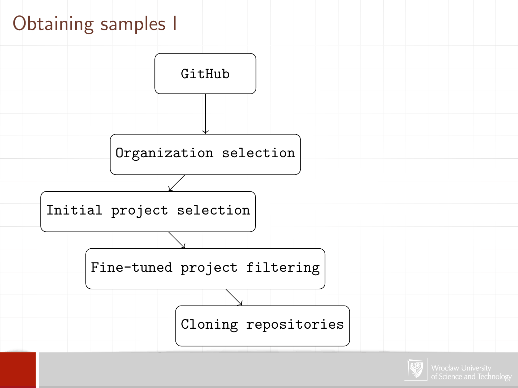# Obtaining samples I



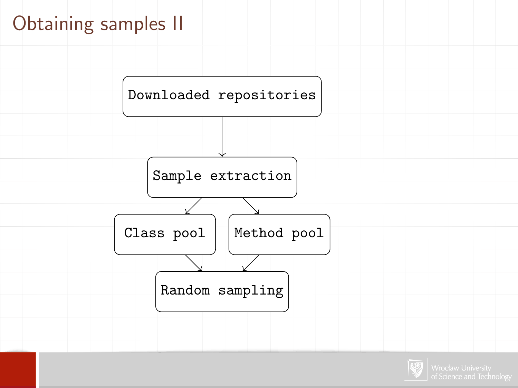# Obtaining samples II



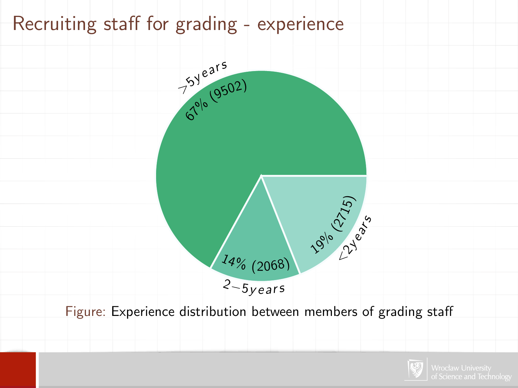### Recruiting staff for grading - experience



Figure: Experience distribution between members of grading staff

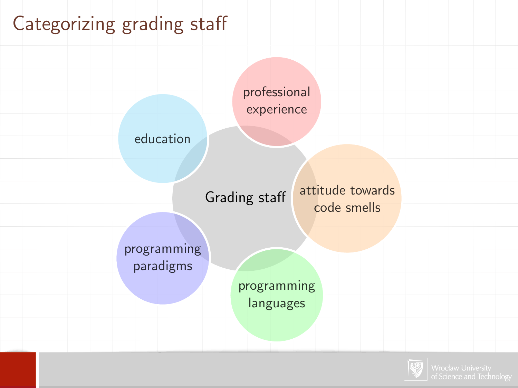# Categorizing grading staff



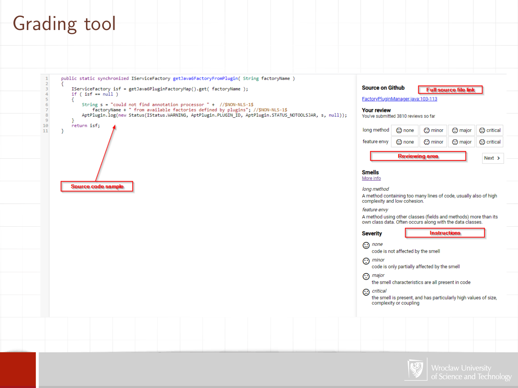#### Grading tool



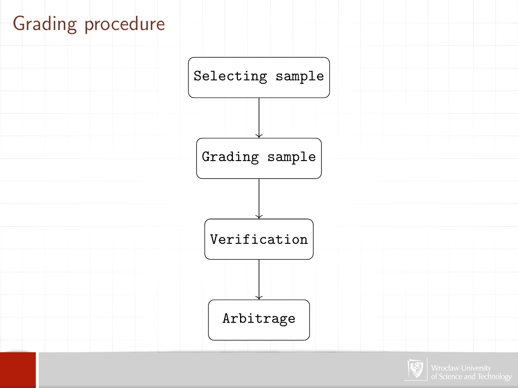# Grading procedure



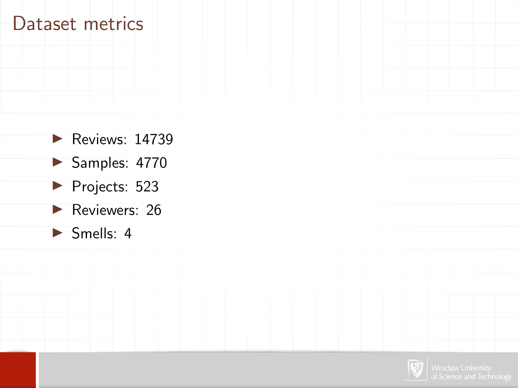#### Dataset metrics

- $\blacktriangleright$  Reviews: 14739
- $\blacktriangleright$  Samples: 4770
- Projects: 523
- $\blacktriangleright$  Reviewers: 26
- $\triangleright$  Smells: 4